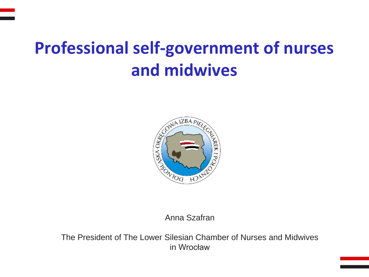# **Professional self-government of nurses and midwives**



Anna Szafran

The President of The Lower Silesian Chamber of Nurses and Midwives in Wrocław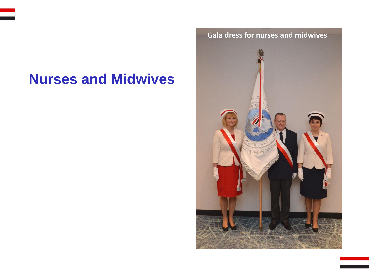# **Nurses and Midwives**

**Gala dress for nurses and midwives**

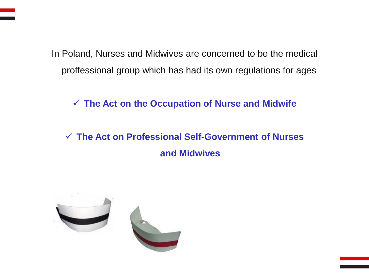In Poland, Nurses and Midwives are concerned to be the medical proffessional group which has had its own regulations for ages

✓ **The Act on the Occupation of Nurse and Midwife** 

✓ **The Act on Professional Self-Government of Nurses and Midwives** 

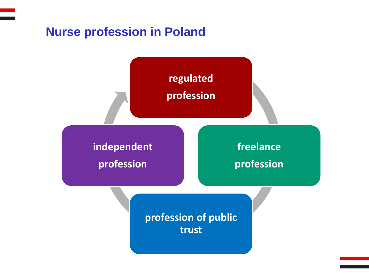### **Nurse profession in Poland**

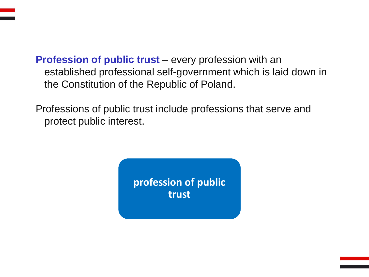**Profession of public trust** – every profession with an established professional self-government which is laid down in the Constitution of the Republic of Poland.

Professions of public trust include professions that serve and protect public interest.

> **profession of public trust**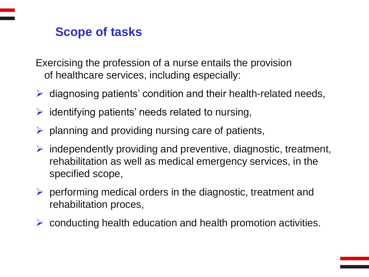# **Scope of tasks**

Exercising the profession of a nurse entails the provision of healthcare services, including especially:

- $\triangleright$  diagnosing patients' condition and their health-related needs,
- $\triangleright$  identifying patients' needs related to nursing,
- $\triangleright$  planning and providing nursing care of patients,
- $\triangleright$  independently providing and preventive, diagnostic, treatment, rehabilitation as well as medical emergency services, in the specified scope,
- $\triangleright$  performing medical orders in the diagnostic, treatment and rehabilitation proces,
- $\triangleright$  conducting health education and health promotion activities.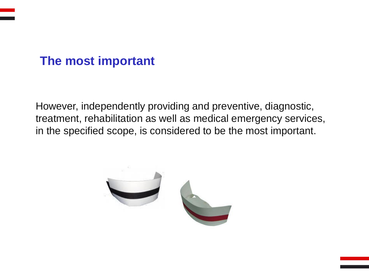## **The most important**

However, independently providing and preventive, diagnostic, treatment, rehabilitation as well as medical emergency services, in the specified scope, is considered to be the most important.

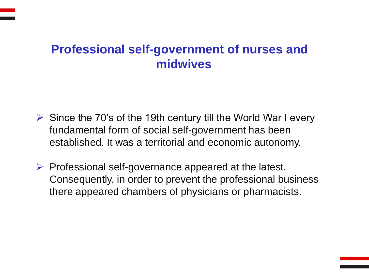## **Professional self-government of nurses and midwives**

- $\triangleright$  Since the 70's of the 19th century till the World War I every fundamental form of social self-government has been established. It was a territorial and economic autonomy.
- $\triangleright$  Professional self-governance appeared at the latest. Consequently, in order to prevent the professional business there appeared chambers of physicians or pharmacists.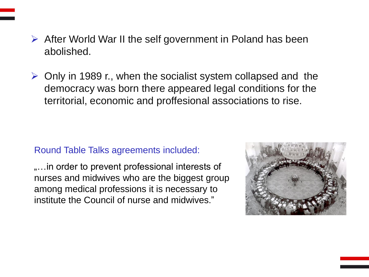- ➢ After World War II the self government in Poland has been abolished.
- ➢ Only in 1989 r., when the socialist system collapsed and the democracy was born there appeared legal conditions for the territorial, economic and proffesional associations to rise.

#### Round Table Talks agreements included:

.... in order to prevent professional interests of nurses and midwives who are the biggest group among medical professions it is necessary to institute the Council of nurse and midwives."

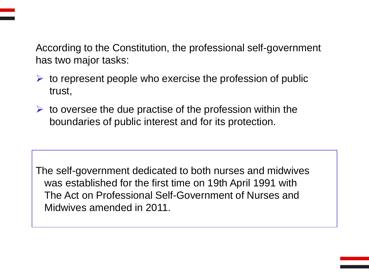According to the Constitution, the professional self-government has two major tasks:

- $\triangleright$  to represent people who exercise the profession of public trust,
- $\triangleright$  to oversee the due practise of the profession within the boundaries of public interest and for its protection.

The self-government dedicated to both nurses and midwives was established for the first time on 19th April 1991 with The Act on Professional Self-Government of Nurses and Midwives amended in 2011.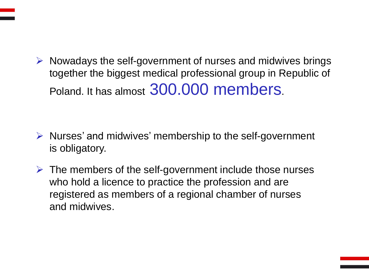$\triangleright$  Nowadays the self-government of nurses and midwives brings together the biggest medical professional group in Republic of Poland. It has almost 300.000 members.

- ➢ Nurses' and midwives' membership to the self-government is obligatory.
- $\triangleright$  The members of the self-government include those nurses who hold a licence to practice the profession and are registered as members of a regional chamber of nurses and midwives.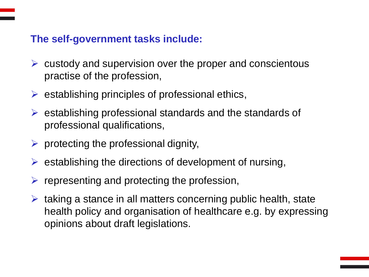#### **The self-government tasks include:**

- $\triangleright$  custody and supervision over the proper and conscientous practise of the profession,
- $\triangleright$  establishing principles of professional ethics,
- ➢ establishing professional standards and the standards of professional qualifications,
- $\triangleright$  protecting the professional dignity,
- $\triangleright$  establishing the directions of development of nursing,
- $\triangleright$  representing and protecting the profession,
- $\triangleright$  taking a stance in all matters concerning public health, state health policy and organisation of healthcare e.g. by expressing opinions about draft legislations.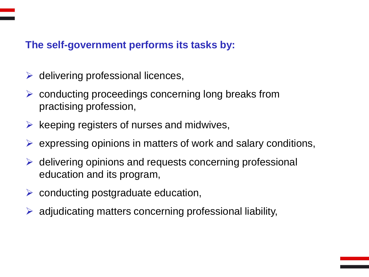#### **The self-government performs its tasks by:**

- $\triangleright$  delivering professional licences,
- $\triangleright$  conducting proceedings concerning long breaks from practising profession,
- $\triangleright$  keeping registers of nurses and midwives,
- $\triangleright$  expressing opinions in matters of work and salary conditions,
- $\triangleright$  delivering opinions and requests concerning professional education and its program,
- $\triangleright$  conducting postgraduate education,
- $\triangleright$  adjudicating matters concerning professional liability,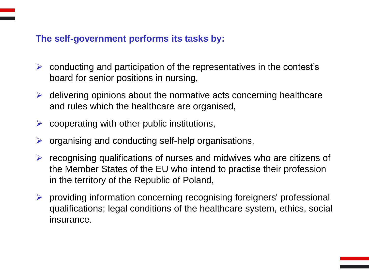#### **The self-government performs its tasks by:**

- $\triangleright$  conducting and participation of the representatives in the contest's board for senior positions in nursing,
- $\triangleright$  delivering opinions about the normative acts concerning healthcare and rules which the healthcare are organised,
- $\triangleright$  cooperating with other public institutions,
- $\triangleright$  organising and conducting self-help organisations,
- $\triangleright$  recognising qualifications of nurses and midwives who are citizens of the Member States of the EU who intend to practise their profession in the territory of the Republic of Poland,
- ➢ providing information concerning recognising foreigners' professional qualifications; legal conditions of the healthcare system, ethics, social insurance.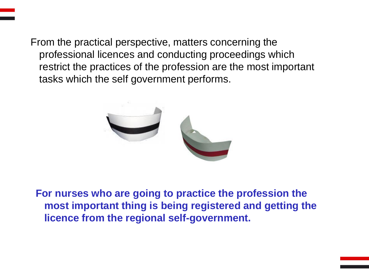From the practical perspective, matters concerning the professional licences and conducting proceedings which restrict the practices of the profession are the most important tasks which the self government performs.



**For nurses who are going to practice the profession the most important thing is being registered and getting the licence from the regional self-government.**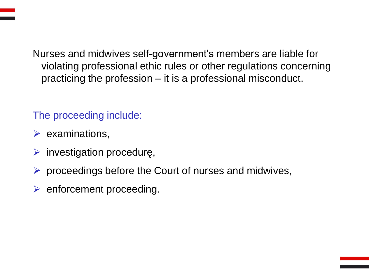Nurses and midwives self-government's members are liable for violating professional ethic rules or other regulations concerning practicing the profession – it is a professional misconduct.

### The proceeding include:

- $\triangleright$  examinations,
- $\triangleright$  investigation procedurę,
- $\triangleright$  proceedings before the Court of nurses and midwives,
- $\triangleright$  enforcement proceeding.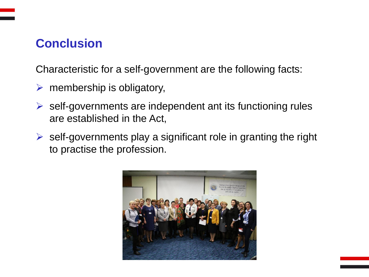# **Conclusion**

Characteristic for a self-government are the following facts:

- $\triangleright$  membership is obligatory,
- $\triangleright$  self-governments are independent ant its functioning rules are established in the Act,
- $\triangleright$  self-governments play a significant role in granting the right to practise the profession.